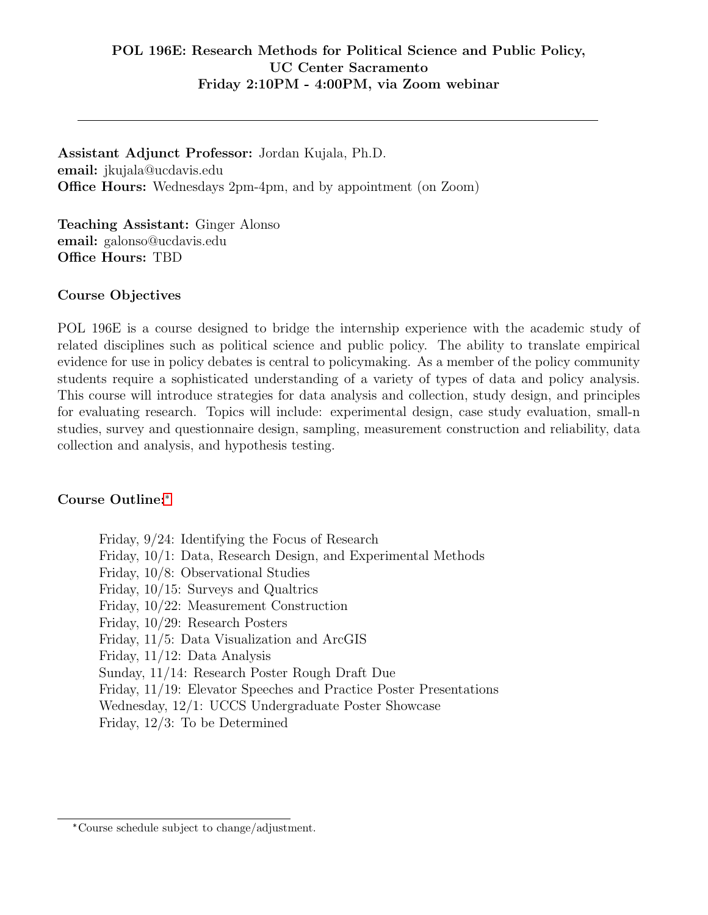Assistant Adjunct Professor: Jordan Kujala, Ph.D. email: jkujala@ucdavis.edu Office Hours: Wednesdays 2pm-4pm, and by appointment (on Zoom)

Teaching Assistant: Ginger Alonso email: galonso@ucdavis.edu Office Hours: TBD

#### Course Objectives

POL 196E is a course designed to bridge the internship experience with the academic study of related disciplines such as political science and public policy. The ability to translate empirical evidence for use in policy debates is central to policymaking. As a member of the policy community students require a sophisticated understanding of a variety of types of data and policy analysis. This course will introduce strategies for data analysis and collection, study design, and principles for evaluating research. Topics will include: experimental design, case study evaluation, small-n studies, survey and questionnaire design, sampling, measurement construction and reliability, data collection and analysis, and hypothesis testing.

#### Course Outline:[\\*](#page-0-0)

Friday, 9/24: Identifying the Focus of Research Friday, 10/1: Data, Research Design, and Experimental Methods Friday, 10/8: Observational Studies Friday, 10/15: Surveys and Qualtrics Friday, 10/22: Measurement Construction Friday, 10/29: Research Posters Friday, 11/5: Data Visualization and ArcGIS Friday, 11/12: Data Analysis Sunday, 11/14: Research Poster Rough Draft Due Friday, 11/19: Elevator Speeches and Practice Poster Presentations Wednesday, 12/1: UCCS Undergraduate Poster Showcase Friday, 12/3: To be Determined

<span id="page-0-0"></span><sup>\*</sup>Course schedule subject to change/adjustment.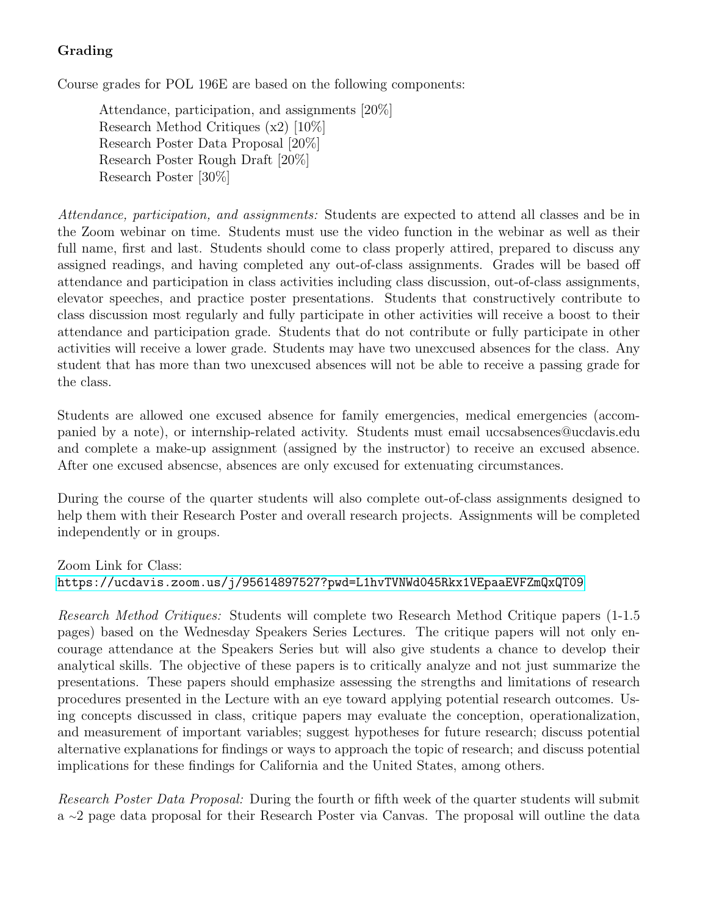# Grading

Course grades for POL 196E are based on the following components:

Attendance, participation, and assignments [20%] Research Method Critiques (x2) [10%] Research Poster Data Proposal [20%] Research Poster Rough Draft [20%] Research Poster [30%]

Attendance, participation, and assignments: Students are expected to attend all classes and be in the Zoom webinar on time. Students must use the video function in the webinar as well as their full name, first and last. Students should come to class properly attired, prepared to discuss any assigned readings, and having completed any out-of-class assignments. Grades will be based off attendance and participation in class activities including class discussion, out-of-class assignments, elevator speeches, and practice poster presentations. Students that constructively contribute to class discussion most regularly and fully participate in other activities will receive a boost to their attendance and participation grade. Students that do not contribute or fully participate in other activities will receive a lower grade. Students may have two unexcused absences for the class. Any student that has more than two unexcused absences will not be able to receive a passing grade for the class.

Students are allowed one excused absence for family emergencies, medical emergencies (accompanied by a note), or internship-related activity. Students must email uccsabsences@ucdavis.edu and complete a make-up assignment (assigned by the instructor) to receive an excused absence. After one excused absencse, absences are only excused for extenuating circumstances.

During the course of the quarter students will also complete out-of-class assignments designed to help them with their Research Poster and overall research projects. Assignments will be completed independently or in groups.

## Zoom Link for Class: <https://ucdavis.zoom.us/j/95614897527?pwd=L1hvTVNWd045Rkx1VEpaaEVFZmQxQT09>

Research Method Critiques: Students will complete two Research Method Critique papers (1-1.5 pages) based on the Wednesday Speakers Series Lectures. The critique papers will not only encourage attendance at the Speakers Series but will also give students a chance to develop their analytical skills. The objective of these papers is to critically analyze and not just summarize the presentations. These papers should emphasize assessing the strengths and limitations of research procedures presented in the Lecture with an eye toward applying potential research outcomes. Using concepts discussed in class, critique papers may evaluate the conception, operationalization, and measurement of important variables; suggest hypotheses for future research; discuss potential alternative explanations for findings or ways to approach the topic of research; and discuss potential implications for these findings for California and the United States, among others.

Research Poster Data Proposal: During the fourth or fifth week of the quarter students will submit a <sup>∼</sup>2 page data proposal for their Research Poster via Canvas. The proposal will outline the data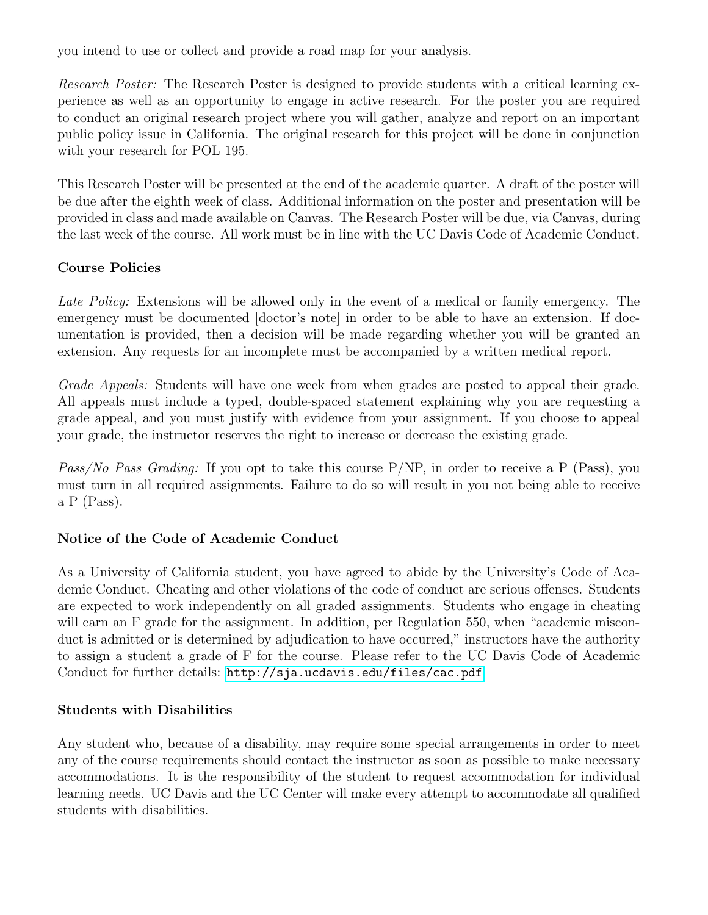you intend to use or collect and provide a road map for your analysis.

Research Poster: The Research Poster is designed to provide students with a critical learning experience as well as an opportunity to engage in active research. For the poster you are required to conduct an original research project where you will gather, analyze and report on an important public policy issue in California. The original research for this project will be done in conjunction with your research for POL 195.

This Research Poster will be presented at the end of the academic quarter. A draft of the poster will be due after the eighth week of class. Additional information on the poster and presentation will be provided in class and made available on Canvas. The Research Poster will be due, via Canvas, during the last week of the course. All work must be in line with the UC Davis Code of Academic Conduct.

## Course Policies

Late Policy: Extensions will be allowed only in the event of a medical or family emergency. The emergency must be documented [doctor's note] in order to be able to have an extension. If documentation is provided, then a decision will be made regarding whether you will be granted an extension. Any requests for an incomplete must be accompanied by a written medical report.

Grade Appeals: Students will have one week from when grades are posted to appeal their grade. All appeals must include a typed, double-spaced statement explaining why you are requesting a grade appeal, and you must justify with evidence from your assignment. If you choose to appeal your grade, the instructor reserves the right to increase or decrease the existing grade.

Pass/No Pass Grading: If you opt to take this course  $P/NP$ , in order to receive a P (Pass), you must turn in all required assignments. Failure to do so will result in you not being able to receive a P (Pass).

#### Notice of the Code of Academic Conduct

As a University of California student, you have agreed to abide by the University's Code of Academic Conduct. Cheating and other violations of the code of conduct are serious offenses. Students are expected to work independently on all graded assignments. Students who engage in cheating will earn an F grade for the assignment. In addition, per Regulation 550, when "academic misconduct is admitted or is determined by adjudication to have occurred," instructors have the authority to assign a student a grade of F for the course. Please refer to the UC Davis Code of Academic Conduct for further details: <http://sja.ucdavis.edu/files/cac.pdf>

#### Students with Disabilities

Any student who, because of a disability, may require some special arrangements in order to meet any of the course requirements should contact the instructor as soon as possible to make necessary accommodations. It is the responsibility of the student to request accommodation for individual learning needs. UC Davis and the UC Center will make every attempt to accommodate all qualified students with disabilities.